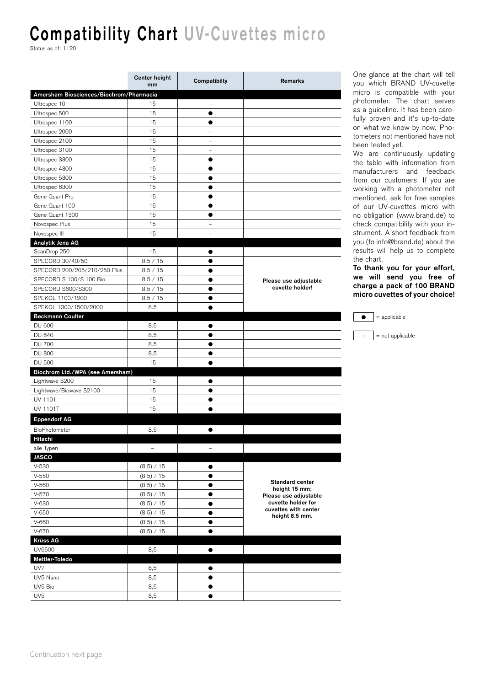## **Compatibility Chart UV-Cuvettes micro**

Status as of: 1120

|                                         | Center height<br>mm | Compatibilty             | Remarks                                                      |  |
|-----------------------------------------|---------------------|--------------------------|--------------------------------------------------------------|--|
| Amersham Biosciences/Biochrom/Pharmacia |                     |                          |                                                              |  |
| Ultrospec 10                            | 15                  | $\overline{\phantom{a}}$ |                                                              |  |
| Ultrospec 500                           | 15                  | $\bullet$                |                                                              |  |
| Ultrospec 1100                          | 15                  | $\bullet$                |                                                              |  |
| Ultrospec 2000                          | 15                  | $\qquad \qquad -$        |                                                              |  |
| Ultrospec 2100                          | 15                  | $\overline{\phantom{0}}$ |                                                              |  |
| Ultrospec 3100                          | 15                  | $\qquad \qquad -$        |                                                              |  |
| Ultrospec 3300                          | 15                  | $\bullet$                |                                                              |  |
| Ultrospec 4300                          | 15                  | $\bullet$                |                                                              |  |
| Ultrospec 5300                          | 15                  | $\bullet$                |                                                              |  |
| Ultrospec 6300                          | 15                  | $\bullet$                |                                                              |  |
| Gene Quant Pro                          | 15                  | $\bullet$                |                                                              |  |
| Gene Quant 100                          | 15                  | $\bullet$                |                                                              |  |
| Gene Quant 1300                         | 15                  | $\bullet$                |                                                              |  |
| Novospec Plus                           | 15                  | $\overline{\phantom{0}}$ |                                                              |  |
| Novospec III                            | 15                  | $\overline{\phantom{0}}$ |                                                              |  |
| Analytik Jena AG                        |                     |                          |                                                              |  |
| ScanDrop 250                            | 15                  |                          |                                                              |  |
| SPECORD 30/40/50                        | 8.5 / 15            | $\bullet$                |                                                              |  |
| SPECORD 200/205/210/250 Plus            | 8.5 / 15            | $\bullet$                |                                                              |  |
| SPECORD S 100/S 100 Bio                 | 8.5 / 15            | $\bullet$                | Please use adjustable                                        |  |
| SPECORD S600/S300                       | 8.5 / 15            | $\bullet$                | cuvette holder!                                              |  |
| SPEKOL 1100/1200                        | 8.5 / 15            |                          |                                                              |  |
| SPEKOL 1300/1500/2000                   | 8.5                 |                          |                                                              |  |
| <b>Beckmann Coulter</b>                 |                     |                          |                                                              |  |
| <b>DU 600</b>                           | 8.5                 |                          |                                                              |  |
| <b>DU 640</b>                           | 8.5                 | $\bullet$                |                                                              |  |
| <b>DU 700</b>                           | 8.5                 | $\bullet$                |                                                              |  |
| <b>DU 800</b>                           | 8.5                 | $\bullet$                |                                                              |  |
| <b>DU 500</b>                           | 15                  | $\bullet$                |                                                              |  |
| Biochrom Ltd./WPA (see Amersham)        |                     |                          |                                                              |  |
| Lightwave S200                          | 15                  |                          |                                                              |  |
| Lightwave/Biowave S2100                 | 15                  |                          |                                                              |  |
| UV 1101                                 | 15                  |                          |                                                              |  |
| UV 1101T                                | 15                  |                          |                                                              |  |
| <b>Eppendorf AG</b>                     |                     |                          |                                                              |  |
| BioPhotometer                           | 8.5                 |                          |                                                              |  |
| Hitachi                                 |                     |                          |                                                              |  |
| alle Typen                              | $\qquad \qquad -$   | $\qquad \qquad -$        |                                                              |  |
| <b>JASCO</b>                            |                     |                          |                                                              |  |
| $V-530$                                 | (8.5) / 15          | $\bullet$                |                                                              |  |
| $V-550$                                 | (8.5) / 15          | $\bullet$                | <b>Standard center</b>                                       |  |
| $V-560$                                 | (8.5) / 15          | $\bullet$                |                                                              |  |
| $V-570$                                 | (8.5) / 15          | $\bullet$                | height 15 mm;<br>Please use adjustable                       |  |
| $V-630$                                 | (8.5) / 15          | $\bullet$                | cuvette holder for<br>cuvettes with center<br>height 8.5 mm. |  |
| $V-650$                                 | (8.5) / 15          | $\bullet$                |                                                              |  |
| $V-660$                                 | (8.5) / 15          |                          |                                                              |  |
| V-670                                   | (8.5) / 15          | $\bullet$                |                                                              |  |
| <b>Krüss AG</b>                         |                     |                          |                                                              |  |
| UV6500                                  | 8,5                 | $\bullet$                |                                                              |  |
| Mettler-Toledo                          |                     |                          |                                                              |  |
| UV7                                     | 8,5                 | $\bullet$                |                                                              |  |
| UV5 Nano                                | 8,5                 | $\bullet$                |                                                              |  |
| UV5 Bio                                 | 8,5                 | $\bullet$                |                                                              |  |
| UV <sub>5</sub>                         | 8,5                 | $\bullet$                |                                                              |  |

One glance at the chart will tell you which BRAND UV-cuvette micro is compatible with your photometer. The chart serves as a guideline. It has been carefully proven and it's up-to-date on what we know by now. Photometers not mentioned have not been tested yet.

We are continuously updating the table with information from manufacturers and feedback from our customers. If you are working with a photometer not mentioned, ask for free samples of our UV-cuvettes micro with no obligation (www.brand.de) to check compatibility with your instrument. A short feedback from you (to info@brand.de) about the results will help us to complete the chart.

**To thank you for your effort, we will send you free of charge a pack of 100 BRAND micro cuvettes of your choice!**

| $=$ applicable     |
|--------------------|
| $=$ not applicable |